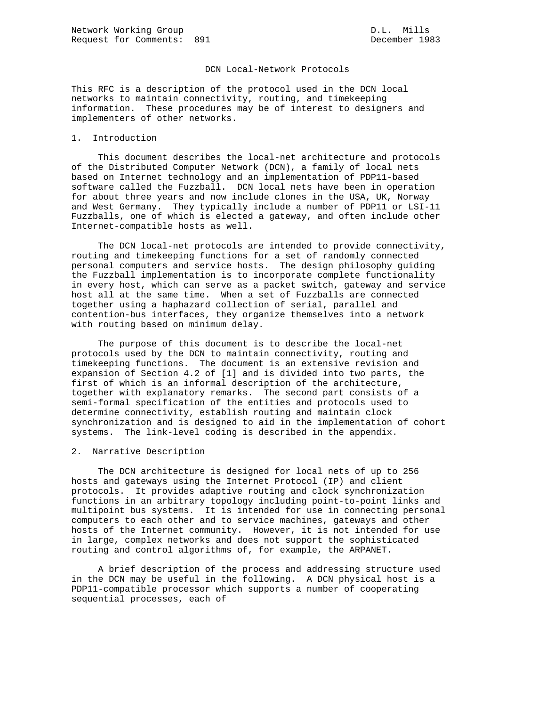# DCN Local-Network Protocols

This RFC is a description of the protocol used in the DCN local networks to maintain connectivity, routing, and timekeeping information. These procedures may be of interest to designers and implementers of other networks.

# 1. Introduction

 This document describes the local-net architecture and protocols of the Distributed Computer Network (DCN), a family of local nets based on Internet technology and an implementation of PDP11-based software called the Fuzzball. DCN local nets have been in operation for about three years and now include clones in the USA, UK, Norway and West Germany. They typically include a number of PDP11 or LSI-11 Fuzzballs, one of which is elected a gateway, and often include other Internet-compatible hosts as well.

 The DCN local-net protocols are intended to provide connectivity, routing and timekeeping functions for a set of randomly connected personal computers and service hosts. The design philosophy guiding the Fuzzball implementation is to incorporate complete functionality in every host, which can serve as a packet switch, gateway and service host all at the same time. When a set of Fuzzballs are connected together using a haphazard collection of serial, parallel and contention-bus interfaces, they organize themselves into a network with routing based on minimum delay.

 The purpose of this document is to describe the local-net protocols used by the DCN to maintain connectivity, routing and timekeeping functions. The document is an extensive revision and expansion of Section 4.2 of [1] and is divided into two parts, the first of which is an informal description of the architecture, together with explanatory remarks. The second part consists of a semi-formal specification of the entities and protocols used to determine connectivity, establish routing and maintain clock synchronization and is designed to aid in the implementation of cohort systems. The link-level coding is described in the appendix.

## 2. Narrative Description

 The DCN architecture is designed for local nets of up to 256 hosts and gateways using the Internet Protocol (IP) and client protocols. It provides adaptive routing and clock synchronization functions in an arbitrary topology including point-to-point links and multipoint bus systems. It is intended for use in connecting personal computers to each other and to service machines, gateways and other hosts of the Internet community. However, it is not intended for use in large, complex networks and does not support the sophisticated routing and control algorithms of, for example, the ARPANET.

 A brief description of the process and addressing structure used in the DCN may be useful in the following. A DCN physical host is a PDP11-compatible processor which supports a number of cooperating sequential processes, each of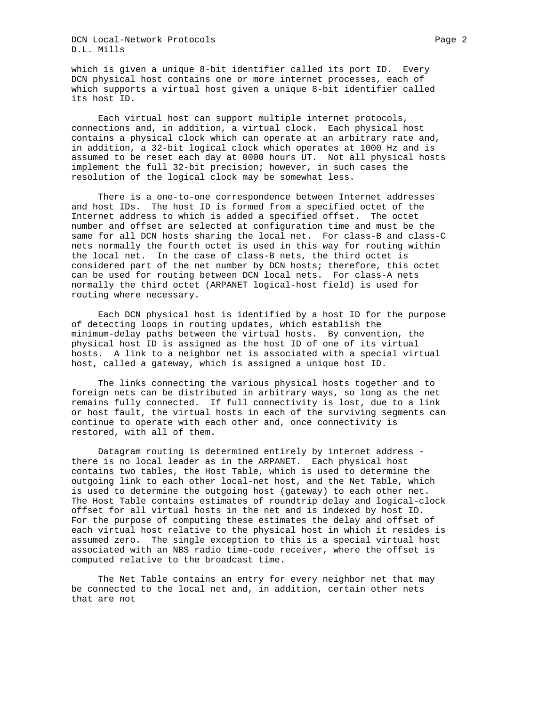DCN Local-Network Protocols Page 2 D.L. Mills

which is given a unique 8-bit identifier called its port ID. Every DCN physical host contains one or more internet processes, each of which supports a virtual host given a unique 8-bit identifier called its host ID.

 Each virtual host can support multiple internet protocols, connections and, in addition, a virtual clock. Each physical host contains a physical clock which can operate at an arbitrary rate and, in addition, a 32-bit logical clock which operates at 1000 Hz and is assumed to be reset each day at 0000 hours UT. Not all physical hosts implement the full 32-bit precision; however, in such cases the resolution of the logical clock may be somewhat less.

 There is a one-to-one correspondence between Internet addresses and host IDs. The host ID is formed from a specified octet of the Internet address to which is added a specified offset. The octet number and offset are selected at configuration time and must be the same for all DCN hosts sharing the local net. For class-B and class-C nets normally the fourth octet is used in this way for routing within the local net. In the case of class-B nets, the third octet is considered part of the net number by DCN hosts; therefore, this octet can be used for routing between DCN local nets. For class-A nets normally the third octet (ARPANET logical-host field) is used for routing where necessary.

 Each DCN physical host is identified by a host ID for the purpose of detecting loops in routing updates, which establish the minimum-delay paths between the virtual hosts. By convention, the physical host ID is assigned as the host ID of one of its virtual hosts. A link to a neighbor net is associated with a special virtual host, called a gateway, which is assigned a unique host ID.

 The links connecting the various physical hosts together and to foreign nets can be distributed in arbitrary ways, so long as the net remains fully connected. If full connectivity is lost, due to a link or host fault, the virtual hosts in each of the surviving segments can continue to operate with each other and, once connectivity is restored, with all of them.

 Datagram routing is determined entirely by internet address there is no local leader as in the ARPANET. Each physical host contains two tables, the Host Table, which is used to determine the outgoing link to each other local-net host, and the Net Table, which is used to determine the outgoing host (gateway) to each other net. The Host Table contains estimates of roundtrip delay and logical-clock offset for all virtual hosts in the net and is indexed by host ID. For the purpose of computing these estimates the delay and offset of each virtual host relative to the physical host in which it resides is assumed zero. The single exception to this is a special virtual host associated with an NBS radio time-code receiver, where the offset is computed relative to the broadcast time.

 The Net Table contains an entry for every neighbor net that may be connected to the local net and, in addition, certain other nets that are not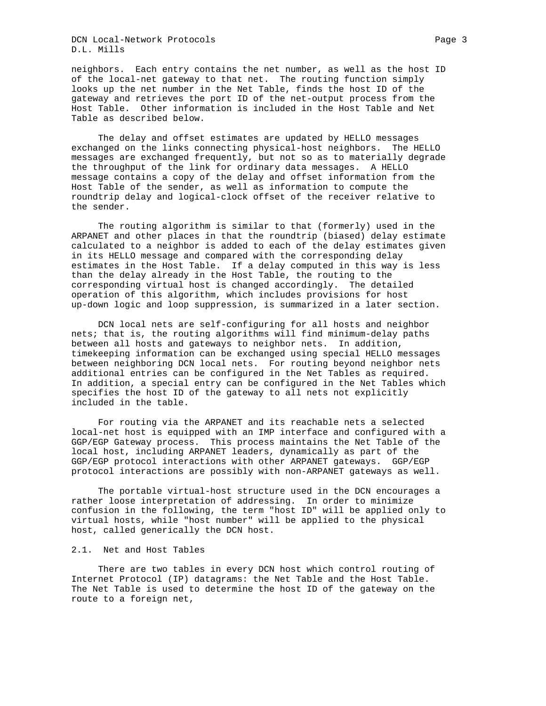DCN Local-Network Protocols Page 3 D.L. Mills

neighbors. Each entry contains the net number, as well as the host ID of the local-net gateway to that net. The routing function simply looks up the net number in the Net Table, finds the host ID of the gateway and retrieves the port ID of the net-output process from the Host Table. Other information is included in the Host Table and Net Table as described below.

 The delay and offset estimates are updated by HELLO messages exchanged on the links connecting physical-host neighbors. The HELLO messages are exchanged frequently, but not so as to materially degrade the throughput of the link for ordinary data messages. A HELLO message contains a copy of the delay and offset information from the Host Table of the sender, as well as information to compute the roundtrip delay and logical-clock offset of the receiver relative to the sender.

 The routing algorithm is similar to that (formerly) used in the ARPANET and other places in that the roundtrip (biased) delay estimate calculated to a neighbor is added to each of the delay estimates given in its HELLO message and compared with the corresponding delay estimates in the Host Table. If a delay computed in this way is less than the delay already in the Host Table, the routing to the corresponding virtual host is changed accordingly. The detailed operation of this algorithm, which includes provisions for host up-down logic and loop suppression, is summarized in a later section.

 DCN local nets are self-configuring for all hosts and neighbor nets; that is, the routing algorithms will find minimum-delay paths between all hosts and gateways to neighbor nets. In addition, timekeeping information can be exchanged using special HELLO messages between neighboring DCN local nets. For routing beyond neighbor nets additional entries can be configured in the Net Tables as required. In addition, a special entry can be configured in the Net Tables which specifies the host ID of the gateway to all nets not explicitly included in the table.

 For routing via the ARPANET and its reachable nets a selected local-net host is equipped with an IMP interface and configured with a GGP/EGP Gateway process. This process maintains the Net Table of the local host, including ARPANET leaders, dynamically as part of the GGP/EGP protocol interactions with other ARPANET gateways. GGP/EGP protocol interactions are possibly with non-ARPANET gateways as well.

 The portable virtual-host structure used in the DCN encourages a rather loose interpretation of addressing. In order to minimize confusion in the following, the term "host ID" will be applied only to virtual hosts, while "host number" will be applied to the physical host, called generically the DCN host.

## 2.1. Net and Host Tables

 There are two tables in every DCN host which control routing of Internet Protocol (IP) datagrams: the Net Table and the Host Table. The Net Table is used to determine the host ID of the gateway on the route to a foreign net,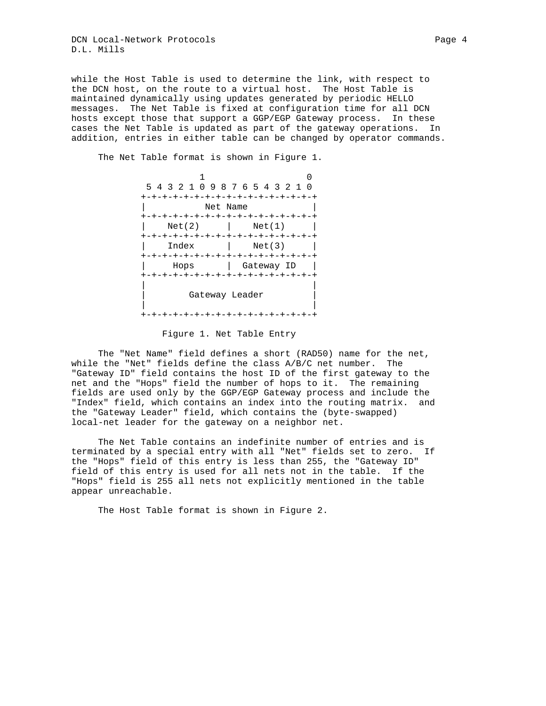DCN Local-Network Protocols Page 4 D.L. Mills

while the Host Table is used to determine the link, with respect to the DCN host, on the route to a virtual host. The Host Table is maintained dynamically using updates generated by periodic HELLO messages. The Net Table is fixed at configuration time for all DCN hosts except those that support a GGP/EGP Gateway process. In these cases the Net Table is updated as part of the gateway operations. In addition, entries in either table can be changed by operator commands.

 1 0 5 4 3 2 1 0 9 8 7 6 5 4 3 2 1 0 +-+-+-+-+-+-+-+-+-+-+-+-+-+-+-+-+ Net Name +-+-+-+-+-+-+-+-+-+-+-+-+-+-+-+-+  $|$  Net(2)  $|$  Net(1) +-+-+-+-+-+-+-+-+-+-+-+-+-+-+-+-+ | Index | Net(3) | +-+-+-+-+-+-+-+-+-+-+-+-+-+-+-+-+ | Hops | Gateway ID | +-+-+-+-+-+-+-+-+-+-+-+-+-+-+-+-+ | | Gateway Leader | | +-+-+-+-+-+-+-+-+-+-+-+-+-+-+-+-+

The Net Table format is shown in Figure 1.

Figure 1. Net Table Entry

 The "Net Name" field defines a short (RAD50) name for the net, while the "Net" fields define the class A/B/C net number. The "Gateway ID" field contains the host ID of the first gateway to the net and the "Hops" field the number of hops to it. The remaining fields are used only by the GGP/EGP Gateway process and include the "Index" field, which contains an index into the routing matrix. and the "Gateway Leader" field, which contains the (byte-swapped) local-net leader for the gateway on a neighbor net.

 The Net Table contains an indefinite number of entries and is terminated by a special entry with all "Net" fields set to zero. If the "Hops" field of this entry is less than 255, the "Gateway ID" field of this entry is used for all nets not in the table. If the "Hops" field is 255 all nets not explicitly mentioned in the table appear unreachable.

The Host Table format is shown in Figure 2.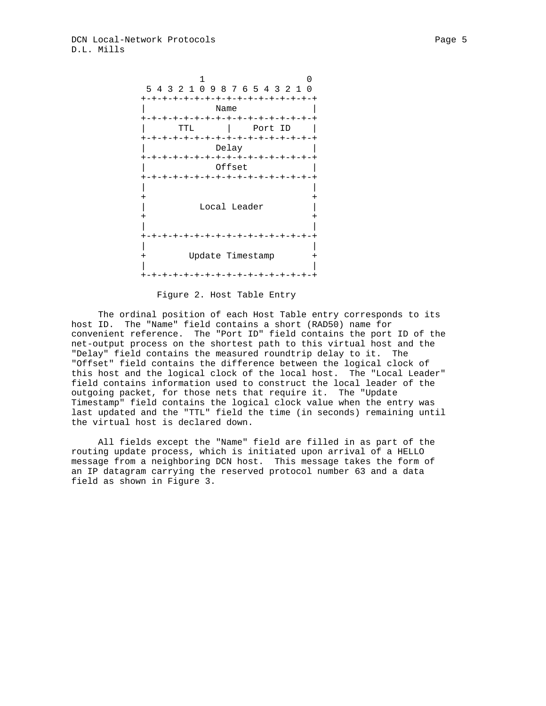

Figure 2. Host Table Entry

 The ordinal position of each Host Table entry corresponds to its host ID. The "Name" field contains a short (RAD50) name for convenient reference. The "Port ID" field contains the port ID of the net-output process on the shortest path to this virtual host and the "Delay" field contains the measured roundtrip delay to it. The "Offset" field contains the difference between the logical clock of this host and the logical clock of the local host. The "Local Leader" field contains information used to construct the local leader of the outgoing packet, for those nets that require it. The "Update Timestamp" field contains the logical clock value when the entry was last updated and the "TTL" field the time (in seconds) remaining until the virtual host is declared down.

 All fields except the "Name" field are filled in as part of the routing update process, which is initiated upon arrival of a HELLO message from a neighboring DCN host. This message takes the form of an IP datagram carrying the reserved protocol number 63 and a data field as shown in Figure 3.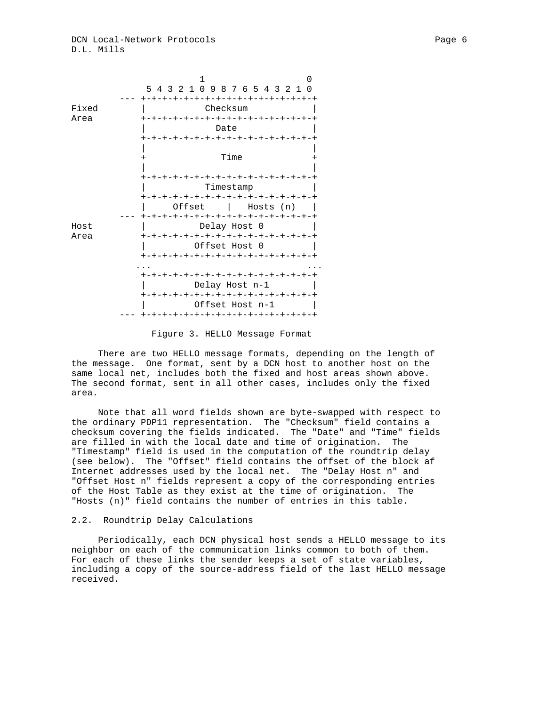

Figure 3. HELLO Message Format

 There are two HELLO message formats, depending on the length of the message. One format, sent by a DCN host to another host on the same local net, includes both the fixed and host areas shown above. The second format, sent in all other cases, includes only the fixed area.

 Note that all word fields shown are byte-swapped with respect to the ordinary PDP11 representation. The "Checksum" field contains a checksum covering the fields indicated. The "Date" and "Time" fields are filled in with the local date and time of origination. The "Timestamp" field is used in the computation of the roundtrip delay (see below). The "Offset" field contains the offset of the block af Internet addresses used by the local net. The "Delay Host n" and "Offset Host n" fields represent a copy of the corresponding entries of the Host Table as they exist at the time of origination. The "Hosts (n)" field contains the number of entries in this table.

### 2.2. Roundtrip Delay Calculations

 Periodically, each DCN physical host sends a HELLO message to its neighbor on each of the communication links common to both of them. For each of these links the sender keeps a set of state variables, including a copy of the source-address field of the last HELLO message received.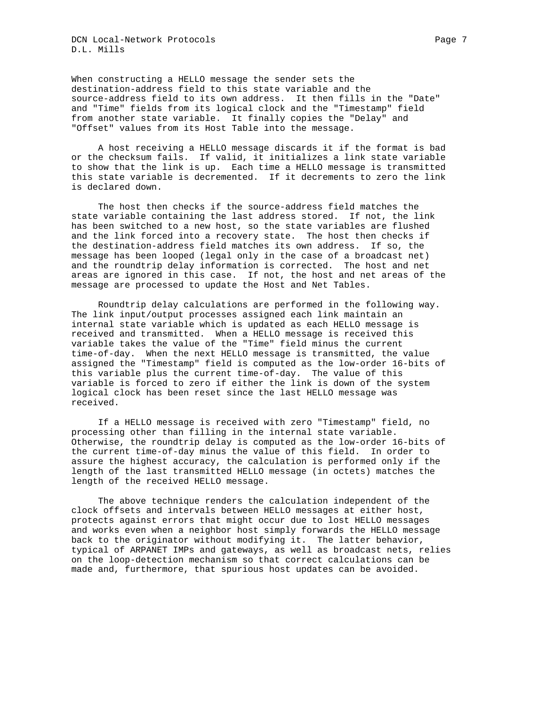When constructing a HELLO message the sender sets the destination-address field to this state variable and the source-address field to its own address. It then fills in the "Date" and "Time" fields from its logical clock and the "Timestamp" field from another state variable. It finally copies the "Delay" and "Offset" values from its Host Table into the message.

 A host receiving a HELLO message discards it if the format is bad or the checksum fails. If valid, it initializes a link state variable to show that the link is up. Each time a HELLO message is transmitted this state variable is decremented. If it decrements to zero the link is declared down.

 The host then checks if the source-address field matches the state variable containing the last address stored. If not, the link has been switched to a new host, so the state variables are flushed and the link forced into a recovery state. The host then checks if the destination-address field matches its own address. If so, the message has been looped (legal only in the case of a broadcast net) and the roundtrip delay information is corrected. The host and net areas are ignored in this case. If not, the host and net areas of the message are processed to update the Host and Net Tables.

 Roundtrip delay calculations are performed in the following way. The link input/output processes assigned each link maintain an internal state variable which is updated as each HELLO message is received and transmitted. When a HELLO message is received this variable takes the value of the "Time" field minus the current time-of-day. When the next HELLO message is transmitted, the value assigned the "Timestamp" field is computed as the low-order 16-bits of this variable plus the current time-of-day. The value of this variable is forced to zero if either the link is down of the system logical clock has been reset since the last HELLO message was received.

 If a HELLO message is received with zero "Timestamp" field, no processing other than filling in the internal state variable. Otherwise, the roundtrip delay is computed as the low-order 16-bits of the current time-of-day minus the value of this field. In order to assure the highest accuracy, the calculation is performed only if the length of the last transmitted HELLO message (in octets) matches the length of the received HELLO message.

 The above technique renders the calculation independent of the clock offsets and intervals between HELLO messages at either host, protects against errors that might occur due to lost HELLO messages and works even when a neighbor host simply forwards the HELLO message back to the originator without modifying it. The latter behavior, typical of ARPANET IMPs and gateways, as well as broadcast nets, relies on the loop-detection mechanism so that correct calculations can be made and, furthermore, that spurious host updates can be avoided.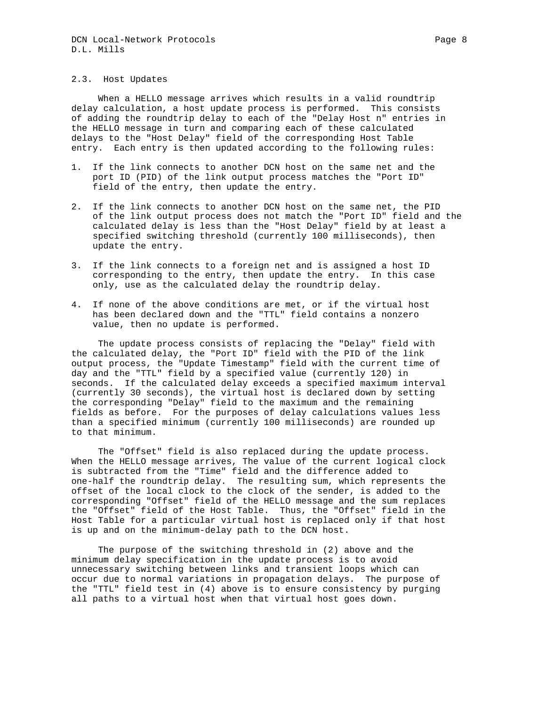When a HELLO message arrives which results in a valid roundtrip delay calculation, a host update process is performed. This consists of adding the roundtrip delay to each of the "Delay Host n" entries in the HELLO message in turn and comparing each of these calculated delays to the "Host Delay" field of the corresponding Host Table entry. Each entry is then updated according to the following rules:

- 1. If the link connects to another DCN host on the same net and the port ID (PID) of the link output process matches the "Port ID" field of the entry, then update the entry.
- 2. If the link connects to another DCN host on the same net, the PID of the link output process does not match the "Port ID" field and the calculated delay is less than the "Host Delay" field by at least a specified switching threshold (currently 100 milliseconds), then update the entry.
- 3. If the link connects to a foreign net and is assigned a host ID corresponding to the entry, then update the entry. In this case only, use as the calculated delay the roundtrip delay.
- 4. If none of the above conditions are met, or if the virtual host has been declared down and the "TTL" field contains a nonzero value, then no update is performed.

 The update process consists of replacing the "Delay" field with the calculated delay, the "Port ID" field with the PID of the link output process, the "Update Timestamp" field with the current time of day and the "TTL" field by a specified value (currently 120) in seconds. If the calculated delay exceeds a specified maximum interval (currently 30 seconds), the virtual host is declared down by setting the corresponding "Delay" field to the maximum and the remaining fields as before. For the purposes of delay calculations values less than a specified minimum (currently 100 milliseconds) are rounded up to that minimum.

 The "Offset" field is also replaced during the update process. When the HELLO message arrives, The value of the current logical clock is subtracted from the "Time" field and the difference added to one-half the roundtrip delay. The resulting sum, which represents the offset of the local clock to the clock of the sender, is added to the corresponding "Offset" field of the HELLO message and the sum replaces the "Offset" field of the Host Table. Thus, the "Offset" field in the Host Table for a particular virtual host is replaced only if that host is up and on the minimum-delay path to the DCN host.

 The purpose of the switching threshold in (2) above and the minimum delay specification in the update process is to avoid unnecessary switching between links and transient loops which can occur due to normal variations in propagation delays. The purpose of the "TTL" field test in (4) above is to ensure consistency by purging all paths to a virtual host when that virtual host goes down.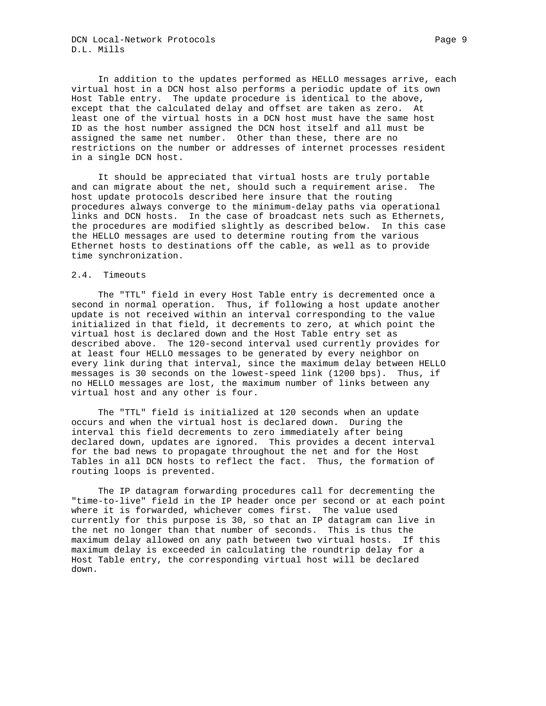DCN Local-Network Protocols **Page 9** D.L. Mills

 In addition to the updates performed as HELLO messages arrive, each virtual host in a DCN host also performs a periodic update of its own Host Table entry. The update procedure is identical to the above, except that the calculated delay and offset are taken as zero. At least one of the virtual hosts in a DCN host must have the same host ID as the host number assigned the DCN host itself and all must be assigned the same net number. Other than these, there are no restrictions on the number or addresses of internet processes resident in a single DCN host.

 It should be appreciated that virtual hosts are truly portable and can migrate about the net, should such a requirement arise. The host update protocols described here insure that the routing procedures always converge to the minimum-delay paths via operational links and DCN hosts. In the case of broadcast nets such as Ethernets, the procedures are modified slightly as described below. In this case the HELLO messages are used to determine routing from the various Ethernet hosts to destinations off the cable, as well as to provide time synchronization.

## 2.4. Timeouts

 The "TTL" field in every Host Table entry is decremented once a second in normal operation. Thus, if following a host update another update is not received within an interval corresponding to the value initialized in that field, it decrements to zero, at which point the virtual host is declared down and the Host Table entry set as described above. The 120-second interval used currently provides for at least four HELLO messages to be generated by every neighbor on every link during that interval, since the maximum delay between HELLO messages is 30 seconds on the lowest-speed link (1200 bps). Thus, if no HELLO messages are lost, the maximum number of links between any virtual host and any other is four.

 The "TTL" field is initialized at 120 seconds when an update occurs and when the virtual host is declared down. During the interval this field decrements to zero immediately after being declared down, updates are ignored. This provides a decent interval for the bad news to propagate throughout the net and for the Host Tables in all DCN hosts to reflect the fact. Thus, the formation of routing loops is prevented.

 The IP datagram forwarding procedures call for decrementing the "time-to-live" field in the IP header once per second or at each point where it is forwarded, whichever comes first. The value used currently for this purpose is 30, so that an IP datagram can live in the net no longer than that number of seconds. This is thus the maximum delay allowed on any path between two virtual hosts. If this maximum delay is exceeded in calculating the roundtrip delay for a Host Table entry, the corresponding virtual host will be declared down.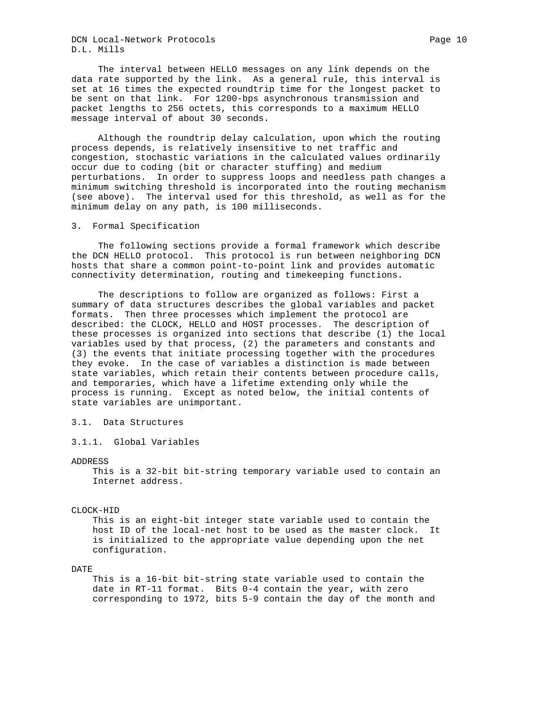DCN Local-Network Protocols **Page 10** Page 10 D.L. Mills

 The interval between HELLO messages on any link depends on the data rate supported by the link. As a general rule, this interval is set at 16 times the expected roundtrip time for the longest packet to be sent on that link. For 1200-bps asynchronous transmission and packet lengths to 256 octets, this corresponds to a maximum HELLO message interval of about 30 seconds.

 Although the roundtrip delay calculation, upon which the routing process depends, is relatively insensitive to net traffic and congestion, stochastic variations in the calculated values ordinarily occur due to coding (bit or character stuffing) and medium perturbations. In order to suppress loops and needless path changes a minimum switching threshold is incorporated into the routing mechanism (see above). The interval used for this threshold, as well as for the minimum delay on any path, is 100 milliseconds.

### 3. Formal Specification

 The following sections provide a formal framework which describe the DCN HELLO protocol. This protocol is run between neighboring DCN hosts that share a common point-to-point link and provides automatic connectivity determination, routing and timekeeping functions.

 The descriptions to follow are organized as follows: First a summary of data structures describes the global variables and packet formats. Then three processes which implement the protocol are described: the CLOCK, HELLO and HOST processes. The description of these processes is organized into sections that describe (1) the local variables used by that process, (2) the parameters and constants and (3) the events that initiate processing together with the procedures they evoke. In the case of variables a distinction is made between state variables, which retain their contents between procedure calls, and temporaries, which have a lifetime extending only while the process is running. Except as noted below, the initial contents of state variables are unimportant.

# 3.1. Data Structures

3.1.1. Global Variables

## ADDRESS

 This is a 32-bit bit-string temporary variable used to contain an Internet address.

## CLOCK-HID

 This is an eight-bit integer state variable used to contain the host ID of the local-net host to be used as the master clock. It is initialized to the appropriate value depending upon the net configuration.

## DATE

 This is a 16-bit bit-string state variable used to contain the date in RT-11 format. Bits 0-4 contain the year, with zero corresponding to 1972, bits 5-9 contain the day of the month and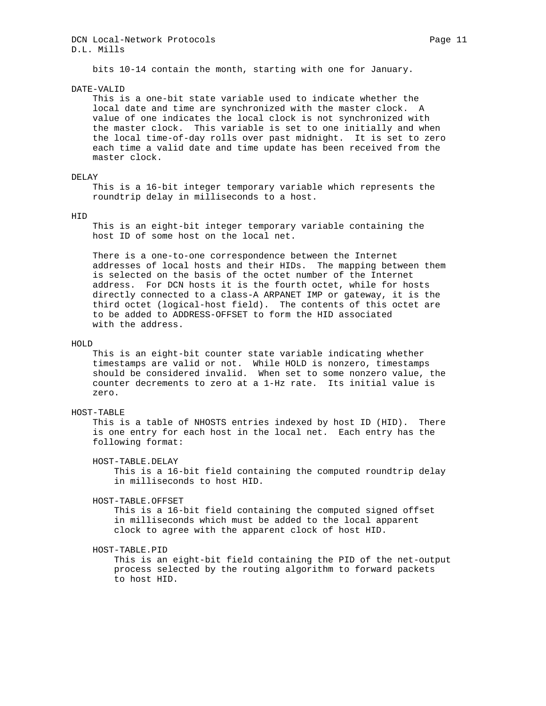## DCN Local-Network Protocols **Page 11** Page 11 D.L. Mills

bits 10-14 contain the month, starting with one for January.

DATE-VALID

 This is a one-bit state variable used to indicate whether the local date and time are synchronized with the master clock. A value of one indicates the local clock is not synchronized with the master clock. This variable is set to one initially and when the local time-of-day rolls over past midnight. It is set to zero each time a valid date and time update has been received from the master clock.

### DELAY

 This is a 16-bit integer temporary variable which represents the roundtrip delay in milliseconds to a host.

#### HID

 This is an eight-bit integer temporary variable containing the host ID of some host on the local net.

 There is a one-to-one correspondence between the Internet addresses of local hosts and their HIDs. The mapping between them is selected on the basis of the octet number of the Internet address. For DCN hosts it is the fourth octet, while for hosts directly connected to a class-A ARPANET IMP or gateway, it is the third octet (logical-host field). The contents of this octet are to be added to ADDRESS-OFFSET to form the HID associated with the address.

### HOLD

 This is an eight-bit counter state variable indicating whether timestamps are valid or not. While HOLD is nonzero, timestamps should be considered invalid. When set to some nonzero value, the counter decrements to zero at a 1-Hz rate. Its initial value is zero.

## HOST-TABLE

 This is a table of NHOSTS entries indexed by host ID (HID). There is one entry for each host in the local net. Each entry has the following format:

HOST-TABLE.DELAY

 This is a 16-bit field containing the computed roundtrip delay in milliseconds to host HID.

### HOST-TABLE.OFFSET

 This is a 16-bit field containing the computed signed offset in milliseconds which must be added to the local apparent clock to agree with the apparent clock of host HID.

HOST-TABLE.PID

 This is an eight-bit field containing the PID of the net-output process selected by the routing algorithm to forward packets to host HID.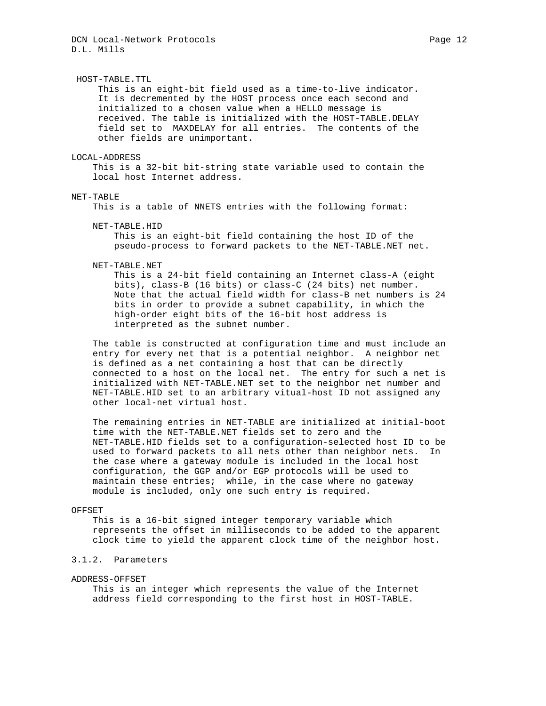#### HOST-TABLE.TTL

 This is an eight-bit field used as a time-to-live indicator. It is decremented by the HOST process once each second and initialized to a chosen value when a HELLO message is received. The table is initialized with the HOST-TABLE.DELAY field set to MAXDELAY for all entries. The contents of the other fields are unimportant.

#### LOCAL-ADDRESS

 This is a 32-bit bit-string state variable used to contain the local host Internet address.

#### NET-TABLE

This is a table of NNETS entries with the following format:

#### NET-TABLE.HID

 This is an eight-bit field containing the host ID of the pseudo-process to forward packets to the NET-TABLE.NET net.

#### NET-TABLE.NET

 This is a 24-bit field containing an Internet class-A (eight bits), class-B (16 bits) or class-C (24 bits) net number. Note that the actual field width for class-B net numbers is 24 bits in order to provide a subnet capability, in which the high-order eight bits of the 16-bit host address is interpreted as the subnet number.

 The table is constructed at configuration time and must include an entry for every net that is a potential neighbor. A neighbor net is defined as a net containing a host that can be directly connected to a host on the local net. The entry for such a net is initialized with NET-TABLE.NET set to the neighbor net number and NET-TABLE.HID set to an arbitrary vitual-host ID not assigned any other local-net virtual host.

 The remaining entries in NET-TABLE are initialized at initial-boot time with the NET-TABLE.NET fields set to zero and the NET-TABLE.HID fields set to a configuration-selected host ID to be used to forward packets to all nets other than neighbor nets. In the case where a gateway module is included in the local host configuration, the GGP and/or EGP protocols will be used to maintain these entries; while, in the case where no gateway module is included, only one such entry is required.

## OFFSET

 This is a 16-bit signed integer temporary variable which represents the offset in milliseconds to be added to the apparent clock time to yield the apparent clock time of the neighbor host.

# 3.1.2. Parameters

#### ADDRESS-OFFSET

 This is an integer which represents the value of the Internet address field corresponding to the first host in HOST-TABLE.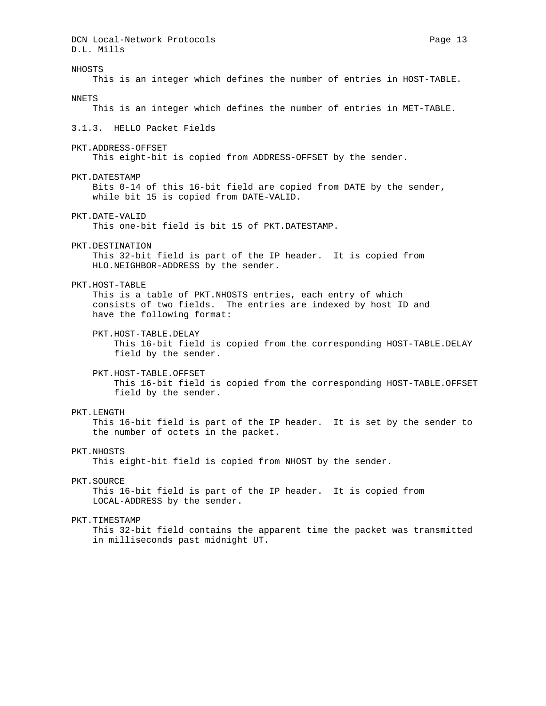DCN Local-Network Protocols **Page 13** D.L. Mills NHOSTS This is an integer which defines the number of entries in HOST-TABLE. NNETS This is an integer which defines the number of entries in MET-TABLE. 3.1.3. HELLO Packet Fields PKT.ADDRESS-OFFSET This eight-bit is copied from ADDRESS-OFFSET by the sender. PKT.DATESTAMP Bits 0-14 of this 16-bit field are copied from DATE by the sender, while bit 15 is copied from DATE-VALID. PKT.DATE-VALID This one-bit field is bit 15 of PKT.DATESTAMP. PKT.DESTINATION This 32-bit field is part of the IP header. It is copied from HLO.NEIGHBOR-ADDRESS by the sender. PKT.HOST-TABLE This is a table of PKT.NHOSTS entries, each entry of which consists of two fields. The entries are indexed by host ID and have the following format: PKT.HOST-TABLE.DELAY This 16-bit field is copied from the corresponding HOST-TABLE. DELAY field by the sender. PKT.HOST-TABLE.OFFSET This 16-bit field is copied from the corresponding HOST-TABLE.OFFSET field by the sender. PKT.LENGTH This 16-bit field is part of the IP header. It is set by the sender to the number of octets in the packet. PKT.NHOSTS This eight-bit field is copied from NHOST by the sender. PKT.SOURCE This 16-bit field is part of the IP header. It is copied from LOCAL-ADDRESS by the sender. PKT.TIMESTAMP This 32-bit field contains the apparent time the packet was transmitted in milliseconds past midnight UT.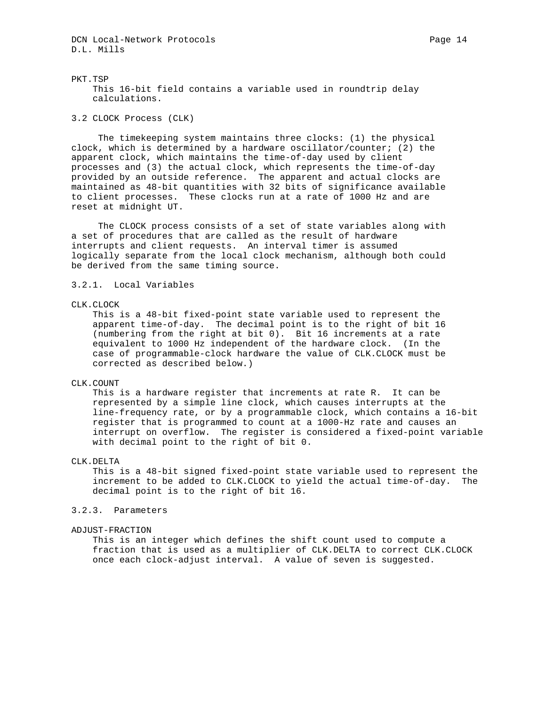DCN Local-Network Protocols **Page 14** Page 14 D.L. Mills

PKT.TSP This 16-bit field contains a variable used in roundtrip delay calculations.

3.2 CLOCK Process (CLK)

 The timekeeping system maintains three clocks: (1) the physical clock, which is determined by a hardware oscillator/counter; (2) the apparent clock, which maintains the time-of-day used by client processes and (3) the actual clock, which represents the time-of-day provided by an outside reference. The apparent and actual clocks are maintained as 48-bit quantities with 32 bits of significance available to client processes. These clocks run at a rate of 1000 Hz and are reset at midnight UT.

 The CLOCK process consists of a set of state variables along with a set of procedures that are called as the result of hardware interrupts and client requests. An interval timer is assumed logically separate from the local clock mechanism, although both could be derived from the same timing source.

## 3.2.1. Local Variables

### CLK.CLOCK

 This is a 48-bit fixed-point state variable used to represent the apparent time-of-day. The decimal point is to the right of bit 16 (numbering from the right at bit 0). Bit 16 increments at a rate equivalent to 1000 Hz independent of the hardware clock. (In the case of programmable-clock hardware the value of CLK.CLOCK must be corrected as described below.)

### CLK.COUNT

 This is a hardware register that increments at rate R. It can be represented by a simple line clock, which causes interrupts at the line-frequency rate, or by a programmable clock, which contains a 16-bit register that is programmed to count at a 1000-Hz rate and causes an interrupt on overflow. The register is considered a fixed-point variable with decimal point to the right of bit 0.

### CLK.DELTA

 This is a 48-bit signed fixed-point state variable used to represent the increment to be added to CLK.CLOCK to yield the actual time-of-day. The decimal point is to the right of bit 16.

## 3.2.3. Parameters

#### ADJUST-FRACTION

 This is an integer which defines the shift count used to compute a fraction that is used as a multiplier of CLK.DELTA to correct CLK.CLOCK once each clock-adjust interval. A value of seven is suggested.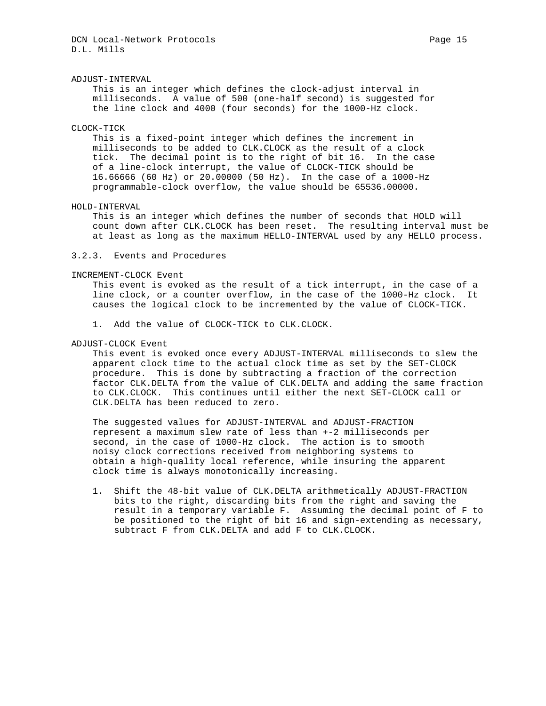### ADJUST-INTERVAL

 This is an integer which defines the clock-adjust interval in milliseconds. A value of 500 (one-half second) is suggested for the line clock and 4000 (four seconds) for the 1000-Hz clock.

### CLOCK-TICK

 This is a fixed-point integer which defines the increment in milliseconds to be added to CLK.CLOCK as the result of a clock tick. The decimal point is to the right of bit 16. In the case of a line-clock interrupt, the value of CLOCK-TICK should be 16.66666 (60 Hz) or 20.00000 (50 Hz). In the case of a 1000-Hz programmable-clock overflow, the value should be 65536.00000.

#### HOLD-INTERVAL

 This is an integer which defines the number of seconds that HOLD will count down after CLK.CLOCK has been reset. The resulting interval must be at least as long as the maximum HELLO-INTERVAL used by any HELLO process.

## 3.2.3. Events and Procedures

### INCREMENT-CLOCK Event

 This event is evoked as the result of a tick interrupt, in the case of a line clock, or a counter overflow, in the case of the 1000-Hz clock. It causes the logical clock to be incremented by the value of CLOCK-TICK.

1. Add the value of CLOCK-TICK to CLK.CLOCK.

### ADJUST-CLOCK Event

 This event is evoked once every ADJUST-INTERVAL milliseconds to slew the apparent clock time to the actual clock time as set by the SET-CLOCK procedure. This is done by subtracting a fraction of the correction factor CLK.DELTA from the value of CLK.DELTA and adding the same fraction to CLK.CLOCK. This continues until either the next SET-CLOCK call or CLK.DELTA has been reduced to zero.

 The suggested values for ADJUST-INTERVAL and ADJUST-FRACTION represent a maximum slew rate of less than +-2 milliseconds per second, in the case of 1000-Hz clock. The action is to smooth noisy clock corrections received from neighboring systems to obtain a high-quality local reference, while insuring the apparent clock time is always monotonically increasing.

 1. Shift the 48-bit value of CLK.DELTA arithmetically ADJUST-FRACTION bits to the right, discarding bits from the right and saving the result in a temporary variable F. Assuming the decimal point of F to be positioned to the right of bit 16 and sign-extending as necessary, subtract F from CLK.DELTA and add F to CLK.CLOCK.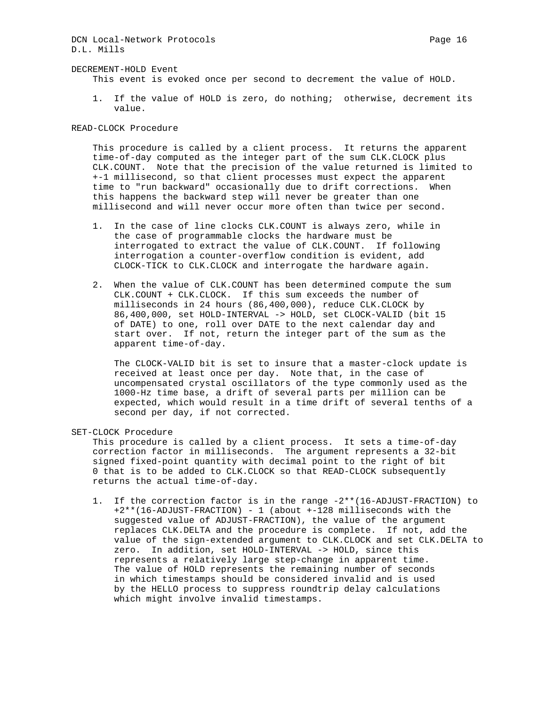DCN Local-Network Protocols **Page 16** Page 16 D.L. Mills

#### DECREMENT-HOLD Event

This event is evoked once per second to decrement the value of HOLD.

 1. If the value of HOLD is zero, do nothing; otherwise, decrement its value.

READ-CLOCK Procedure

 This procedure is called by a client process. It returns the apparent time-of-day computed as the integer part of the sum CLK.CLOCK plus CLK.COUNT. Note that the precision of the value returned is limited to +-1 millisecond, so that client processes must expect the apparent time to "run backward" occasionally due to drift corrections. When this happens the backward step will never be greater than one millisecond and will never occur more often than twice per second.

- 1. In the case of line clocks CLK.COUNT is always zero, while in the case of programmable clocks the hardware must be interrogated to extract the value of CLK.COUNT. If following interrogation a counter-overflow condition is evident, add CLOCK-TICK to CLK.CLOCK and interrogate the hardware again.
- 2. When the value of CLK.COUNT has been determined compute the sum CLK.COUNT + CLK.CLOCK. If this sum exceeds the number of milliseconds in 24 hours (86,400,000), reduce CLK.CLOCK by 86,400,000, set HOLD-INTERVAL -> HOLD, set CLOCK-VALID (bit 15 of DATE) to one, roll over DATE to the next calendar day and start over. If not, return the integer part of the sum as the apparent time-of-day.

 The CLOCK-VALID bit is set to insure that a master-clock update is received at least once per day. Note that, in the case of uncompensated crystal oscillators of the type commonly used as the 1000-Hz time base, a drift of several parts per million can be expected, which would result in a time drift of several tenths of a second per day, if not corrected.

SET-CLOCK Procedure

 This procedure is called by a client process. It sets a time-of-day correction factor in milliseconds. The argument represents a 32-bit signed fixed-point quantity with decimal point to the right of bit 0 that is to be added to CLK.CLOCK so that READ-CLOCK subsequently returns the actual time-of-day.

 1. If the correction factor is in the range -2\*\*(16-ADJUST-FRACTION) to +2\*\*(16-ADJUST-FRACTION) - 1 (about +-128 milliseconds with the suggested value of ADJUST-FRACTION), the value of the argument replaces CLK.DELTA and the procedure is complete. If not, add the value of the sign-extended argument to CLK.CLOCK and set CLK.DELTA to zero. In addition, set HOLD-INTERVAL -> HOLD, since this represents a relatively large step-change in apparent time. The value of HOLD represents the remaining number of seconds in which timestamps should be considered invalid and is used by the HELLO process to suppress roundtrip delay calculations which might involve invalid timestamps.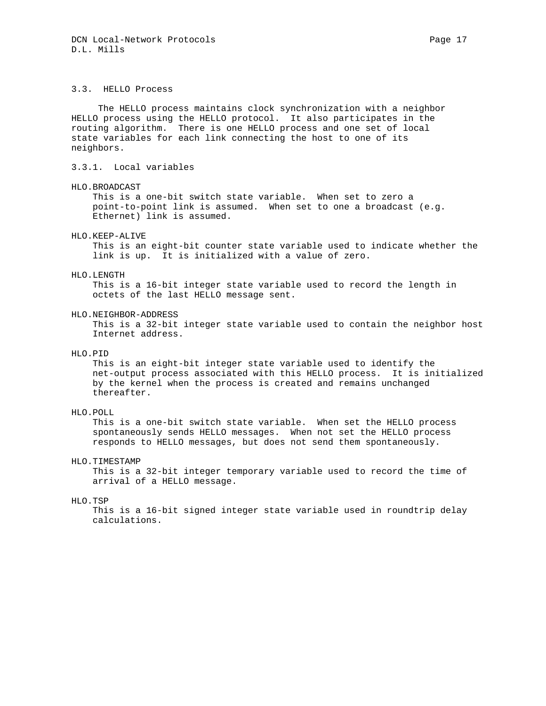## 3.3. HELLO Process

 The HELLO process maintains clock synchronization with a neighbor HELLO process using the HELLO protocol. It also participates in the routing algorithm. There is one HELLO process and one set of local state variables for each link connecting the host to one of its neighbors.

3.3.1. Local variables

#### HLO.BROADCAST

 This is a one-bit switch state variable. When set to zero a point-to-point link is assumed. When set to one a broadcast (e.g. Ethernet) link is assumed.

#### HLO.KEEP-ALIVE

 This is an eight-bit counter state variable used to indicate whether the link is up. It is initialized with a value of zero.

## HLO.LENGTH

 This is a 16-bit integer state variable used to record the length in octets of the last HELLO message sent.

#### HLO.NEIGHBOR-ADDRESS

 This is a 32-bit integer state variable used to contain the neighbor host Internet address.

## HLO.PID

 This is an eight-bit integer state variable used to identify the net-output process associated with this HELLO process. It is initialized by the kernel when the process is created and remains unchanged thereafter.

## HLO.POLL

 This is a one-bit switch state variable. When set the HELLO process spontaneously sends HELLO messages. When not set the HELLO process responds to HELLO messages, but does not send them spontaneously.

## HLO.TIMESTAMP

 This is a 32-bit integer temporary variable used to record the time of arrival of a HELLO message.

#### HLO.TSP

 This is a 16-bit signed integer state variable used in roundtrip delay calculations.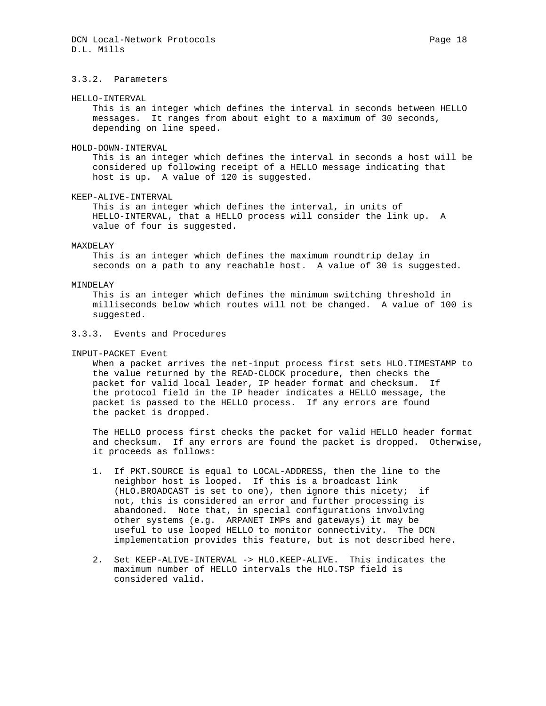#### HELLO-INTERVAL

 This is an integer which defines the interval in seconds between HELLO messages. It ranges from about eight to a maximum of 30 seconds, depending on line speed.

#### HOLD-DOWN-INTERVAL

 This is an integer which defines the interval in seconds a host will be considered up following receipt of a HELLO message indicating that host is up. A value of 120 is suggested.

### KEEP-ALIVE-INTERVAL

 This is an integer which defines the interval, in units of HELLO-INTERVAL, that a HELLO process will consider the link up. A value of four is suggested.

### MAXDELAY

 This is an integer which defines the maximum roundtrip delay in seconds on a path to any reachable host. A value of 30 is suggested.

#### MINDELAY

 This is an integer which defines the minimum switching threshold in milliseconds below which routes will not be changed. A value of 100 is suggested.

## 3.3.3. Events and Procedures

INPUT-PACKET Event

When a packet arrives the net-input process first sets HLO.TIMESTAMP to the value returned by the READ-CLOCK procedure, then checks the packet for valid local leader, IP header format and checksum. If the protocol field in the IP header indicates a HELLO message, the packet is passed to the HELLO process. If any errors are found the packet is dropped.

 The HELLO process first checks the packet for valid HELLO header format and checksum. If any errors are found the packet is dropped. Otherwise, it proceeds as follows:

- 1. If PKT.SOURCE is equal to LOCAL-ADDRESS, then the line to the neighbor host is looped. If this is a broadcast link (HLO.BROADCAST is set to one), then ignore this nicety; if not, this is considered an error and further processing is abandoned. Note that, in special configurations involving other systems (e.g. ARPANET IMPs and gateways) it may be useful to use looped HELLO to monitor connectivity. The DCN implementation provides this feature, but is not described here.
- 2. Set KEEP-ALIVE-INTERVAL -> HLO.KEEP-ALIVE. This indicates the maximum number of HELLO intervals the HLO.TSP field is considered valid.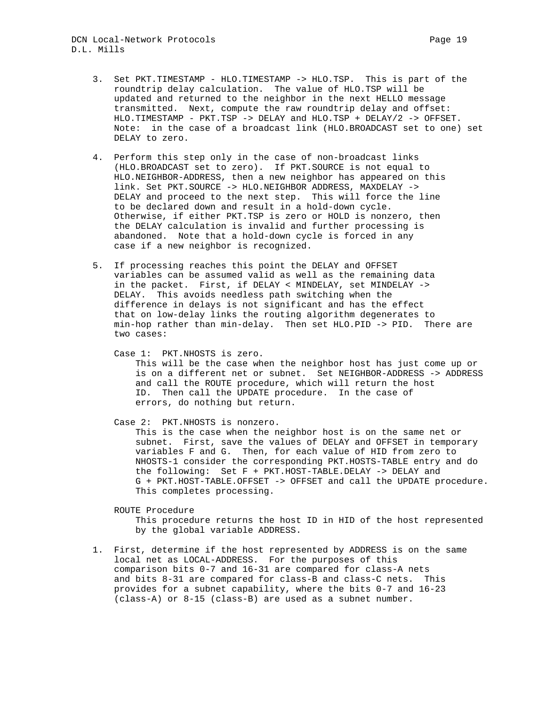- 3. Set PKT.TIMESTAMP HLO.TIMESTAMP -> HLO.TSP. This is part of the roundtrip delay calculation. The value of HLO.TSP will be updated and returned to the neighbor in the next HELLO message transmitted. Next, compute the raw roundtrip delay and offset: HLO.TIMESTAMP - PKT.TSP -> DELAY and HLO.TSP + DELAY/2 -> OFFSET. Note: in the case of a broadcast link (HLO.BROADCAST set to one) set DELAY to zero.
- 4. Perform this step only in the case of non-broadcast links (HLO.BROADCAST set to zero). If PKT.SOURCE is not equal to HLO.NEIGHBOR-ADDRESS, then a new neighbor has appeared on this link. Set PKT.SOURCE -> HLO.NEIGHBOR ADDRESS, MAXDELAY -> DELAY and proceed to the next step. This will force the line to be declared down and result in a hold-down cycle. Otherwise, if either PKT.TSP is zero or HOLD is nonzero, then the DELAY calculation is invalid and further processing is abandoned. Note that a hold-down cycle is forced in any case if a new neighbor is recognized.
- 5. If processing reaches this point the DELAY and OFFSET variables can be assumed valid as well as the remaining data in the packet. First, if DELAY < MINDELAY, set MINDELAY -> DELAY. This avoids needless path switching when the difference in delays is not significant and has the effect that on low-delay links the routing algorithm degenerates to min-hop rather than min-delay. Then set HLO.PID -> PID. There are two cases:
	- Case 1: PKT.NHOSTS is zero. This will be the case when the neighbor host has just come up or is on a different net or subnet. Set NEIGHBOR-ADDRESS -> ADDRESS and call the ROUTE procedure, which will return the host ID. Then call the UPDATE procedure. In the case of errors, do nothing but return.
	- Case 2: PKT.NHOSTS is nonzero. This is the case when the neighbor host is on the same net or subnet. First, save the values of DELAY and OFFSET in temporary variables F and G. Then, for each value of HID from zero to NHOSTS-1 consider the corresponding PKT.HOSTS-TABLE entry and do the following: Set F + PKT.HOST-TABLE.DELAY -> DELAY and G + PKT.HOST-TABLE.OFFSET -> OFFSET and call the UPDATE procedure. This completes processing.

ROUTE Procedure

 This procedure returns the host ID in HID of the host represented by the global variable ADDRESS.

 1. First, determine if the host represented by ADDRESS is on the same local net as LOCAL-ADDRESS. For the purposes of this comparison bits 0-7 and 16-31 are compared for class-A nets and bits 8-31 are compared for class-B and class-C nets. This provides for a subnet capability, where the bits 0-7 and 16-23 (class-A) or 8-15 (class-B) are used as a subnet number.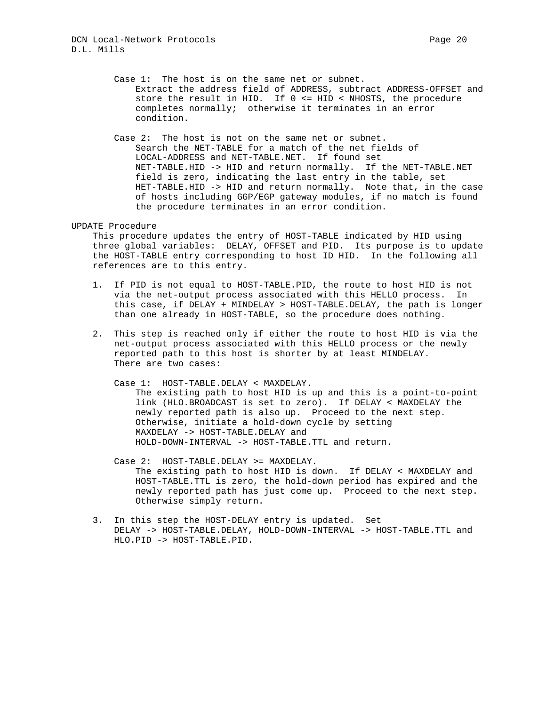Case 1: The host is on the same net or subnet. Extract the address field of ADDRESS, subtract ADDRESS-OFFSET and store the result in HID. If 0 <= HID < NHOSTS, the procedure completes normally; otherwise it terminates in an error condition.

 Case 2: The host is not on the same net or subnet. Search the NET-TABLE for a match of the net fields of LOCAL-ADDRESS and NET-TABLE.NET. If found set NET-TABLE.HID -> HID and return normally. If the NET-TABLE.NET field is zero, indicating the last entry in the table, set HET-TABLE.HID -> HID and return normally. Note that, in the case of hosts including GGP/EGP gateway modules, if no match is found the procedure terminates in an error condition.

#### UPDATE Procedure

 This procedure updates the entry of HOST-TABLE indicated by HID using three global variables: DELAY, OFFSET and PID. Its purpose is to update the HOST-TABLE entry corresponding to host ID HID. In the following all references are to this entry.

- 1. If PID is not equal to HOST-TABLE.PID, the route to host HID is not via the net-output process associated with this HELLO process. In this case, if DELAY + MINDELAY > HOST-TABLE.DELAY, the path is longer than one already in HOST-TABLE, so the procedure does nothing.
- 2. This step is reached only if either the route to host HID is via the net-output process associated with this HELLO process or the newly reported path to this host is shorter by at least MINDELAY. There are two cases:
	- Case 1: HOST-TABLE.DELAY < MAXDELAY.

 The existing path to host HID is up and this is a point-to-point link (HLO.BROADCAST is set to zero). If DELAY < MAXDELAY the newly reported path is also up. Proceed to the next step. Otherwise, initiate a hold-down cycle by setting MAXDELAY -> HOST-TABLE.DELAY and HOLD-DOWN-INTERVAL -> HOST-TABLE.TTL and return.

- Case 2: HOST-TABLE.DELAY >= MAXDELAY. The existing path to host HID is down. If DELAY < MAXDELAY and HOST-TABLE.TTL is zero, the hold-down period has expired and the newly reported path has just come up. Proceed to the next step. Otherwise simply return.
- 3. In this step the HOST-DELAY entry is updated. Set DELAY -> HOST-TABLE.DELAY, HOLD-DOWN-INTERVAL -> HOST-TABLE.TTL and HLO.PID -> HOST-TABLE.PID.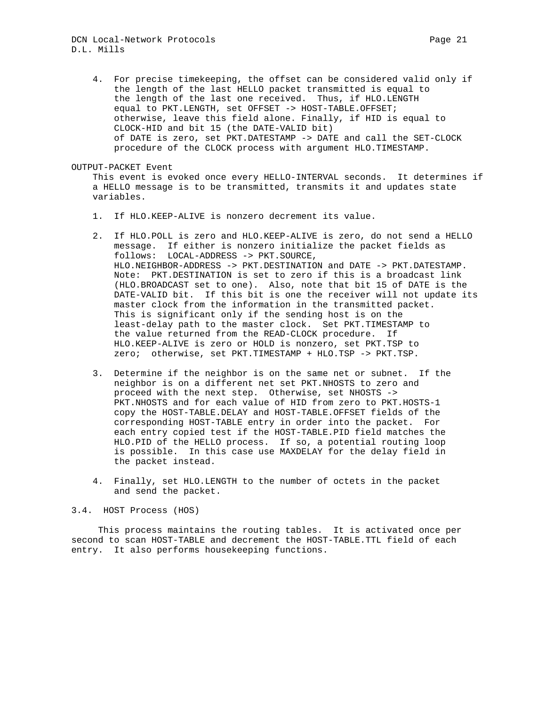## DCN Local-Network Protocols **Page 21** Page 21 D.L. Mills

 4. For precise timekeeping, the offset can be considered valid only if the length of the last HELLO packet transmitted is equal to the length of the last one received. Thus, if HLO.LENGTH equal to PKT.LENGTH, set OFFSET -> HOST-TABLE.OFFSET; otherwise, leave this field alone. Finally, if HID is equal to CLOCK-HID and bit 15 (the DATE-VALID bit) of DATE is zero, set PKT.DATESTAMP -> DATE and call the SET-CLOCK procedure of the CLOCK process with argument HLO.TIMESTAMP.

#### OUTPUT-PACKET Event

 This event is evoked once every HELLO-INTERVAL seconds. It determines if a HELLO message is to be transmitted, transmits it and updates state variables.

- 1. If HLO.KEEP-ALIVE is nonzero decrement its value.
- 2. If HLO.POLL is zero and HLO.KEEP-ALIVE is zero, do not send a HELLO message. If either is nonzero initialize the packet fields as follows: LOCAL-ADDRESS -> PKT.SOURCE, HLO.NEIGHBOR-ADDRESS -> PKT.DESTINATION and DATE -> PKT.DATESTAMP. Note: PKT.DESTINATION is set to zero if this is a broadcast link (HLO.BROADCAST set to one). Also, note that bit 15 of DATE is the DATE-VALID bit. If this bit is one the receiver will not update its master clock from the information in the transmitted packet. This is significant only if the sending host is on the least-delay path to the master clock. Set PKT.TIMESTAMP to the value returned from the READ-CLOCK procedure. If HLO.KEEP-ALIVE is zero or HOLD is nonzero, set PKT.TSP to zero; otherwise, set PKT.TIMESTAMP + HLO.TSP -> PKT.TSP.
- 3. Determine if the neighbor is on the same net or subnet. If the neighbor is on a different net set PKT.NHOSTS to zero and proceed with the next step. Otherwise, set NHOSTS -> PKT.NHOSTS and for each value of HID from zero to PKT.HOSTS-1 copy the HOST-TABLE.DELAY and HOST-TABLE.OFFSET fields of the corresponding HOST-TABLE entry in order into the packet. For each entry copied test if the HOST-TABLE.PID field matches the HLO.PID of the HELLO process. If so, a potential routing loop is possible. In this case use MAXDELAY for the delay field in the packet instead.
- 4. Finally, set HLO.LENGTH to the number of octets in the packet and send the packet.

## 3.4. HOST Process (HOS)

 This process maintains the routing tables. It is activated once per second to scan HOST-TABLE and decrement the HOST-TABLE.TTL field of each entry. It also performs housekeeping functions.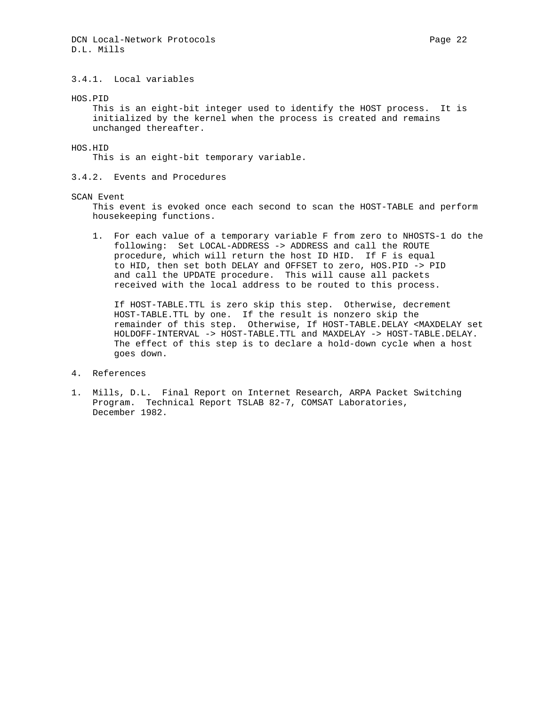# 3.4.1. Local variables

HOS.PID

 This is an eight-bit integer used to identify the HOST process. It is initialized by the kernel when the process is created and remains unchanged thereafter.

HOS.HID

This is an eight-bit temporary variable.

3.4.2. Events and Procedures

### SCAN Event

 This event is evoked once each second to scan the HOST-TABLE and perform housekeeping functions.

 1. For each value of a temporary variable F from zero to NHOSTS-1 do the following: Set LOCAL-ADDRESS -> ADDRESS and call the ROUTE procedure, which will return the host ID HID. If F is equal to HID, then set both DELAY and OFFSET to zero, HOS.PID -> PID and call the UPDATE procedure. This will cause all packets received with the local address to be routed to this process.

 If HOST-TABLE.TTL is zero skip this step. Otherwise, decrement HOST-TABLE.TTL by one. If the result is nonzero skip the remainder of this step. Otherwise, If HOST-TABLE.DELAY <MAXDELAY set HOLDOFF-INTERVAL -> HOST-TABLE.TTL and MAXDELAY -> HOST-TABLE.DELAY. The effect of this step is to declare a hold-down cycle when a host goes down.

#### 4. References

1. Mills, D.L. Final Report on Internet Research, ARPA Packet Switching Program. Technical Report TSLAB 82-7, COMSAT Laboratories, December 1982.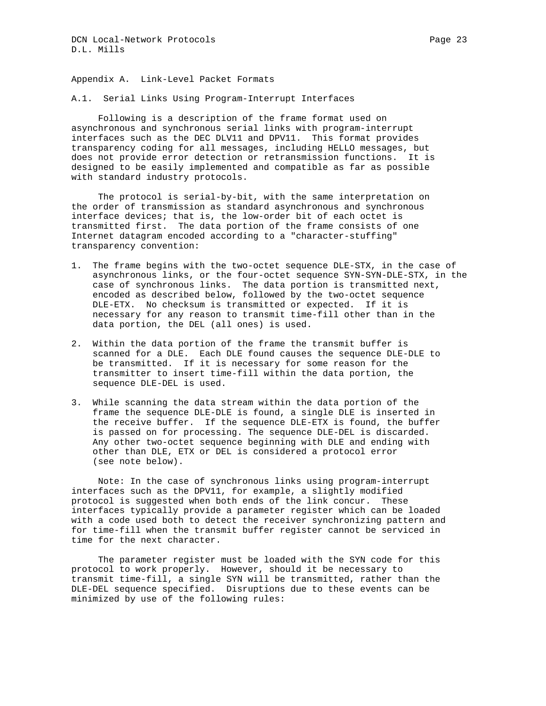Appendix A. Link-Level Packet Formats

A.1. Serial Links Using Program-Interrupt Interfaces

 Following is a description of the frame format used on asynchronous and synchronous serial links with program-interrupt interfaces such as the DEC DLV11 and DPV11. This format provides transparency coding for all messages, including HELLO messages, but does not provide error detection or retransmission functions. It is designed to be easily implemented and compatible as far as possible with standard industry protocols.

 The protocol is serial-by-bit, with the same interpretation on the order of transmission as standard asynchronous and synchronous interface devices; that is, the low-order bit of each octet is transmitted first. The data portion of the frame consists of one Internet datagram encoded according to a "character-stuffing" transparency convention:

- 1. The frame begins with the two-octet sequence DLE-STX, in the case of asynchronous links, or the four-octet sequence SYN-SYN-DLE-STX, in the case of synchronous links. The data portion is transmitted next, encoded as described below, followed by the two-octet sequence DLE-ETX. No checksum is transmitted or expected. If it is necessary for any reason to transmit time-fill other than in the data portion, the DEL (all ones) is used.
- 2. Within the data portion of the frame the transmit buffer is scanned for a DLE. Each DLE found causes the sequence DLE-DLE to be transmitted. If it is necessary for some reason for the transmitter to insert time-fill within the data portion, the sequence DLE-DEL is used.
- 3. While scanning the data stream within the data portion of the frame the sequence DLE-DLE is found, a single DLE is inserted in the receive buffer. If the sequence DLE-ETX is found, the buffer is passed on for processing. The sequence DLE-DEL is discarded. Any other two-octet sequence beginning with DLE and ending with other than DLE, ETX or DEL is considered a protocol error (see note below).

 Note: In the case of synchronous links using program-interrupt interfaces such as the DPV11, for example, a slightly modified protocol is suggested when both ends of the link concur. These interfaces typically provide a parameter register which can be loaded with a code used both to detect the receiver synchronizing pattern and for time-fill when the transmit buffer register cannot be serviced in time for the next character.

 The parameter register must be loaded with the SYN code for this protocol to work properly. However, should it be necessary to transmit time-fill, a single SYN will be transmitted, rather than the DLE-DEL sequence specified. Disruptions due to these events can be minimized by use of the following rules: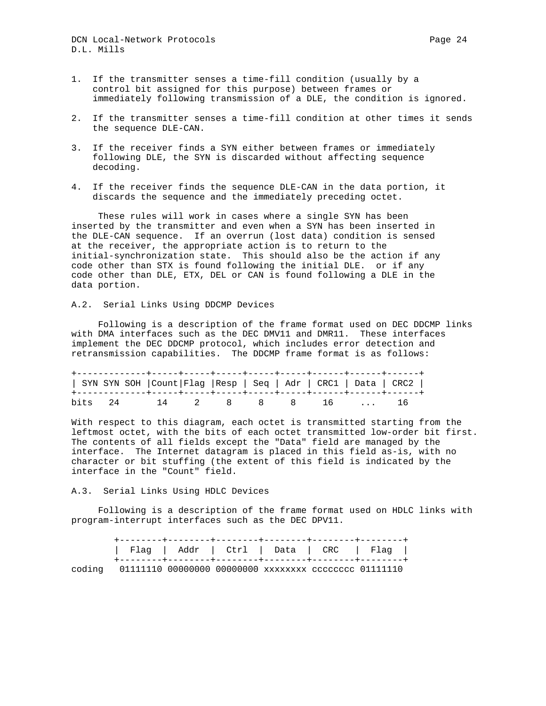DCN Local-Network Protocols **Page 24** D.L. Mills

- 1. If the transmitter senses a time-fill condition (usually by a control bit assigned for this purpose) between frames or immediately following transmission of a DLE, the condition is ignored.
- 2. If the transmitter senses a time-fill condition at other times it sends the sequence DLE-CAN.
- 3. If the receiver finds a SYN either between frames or immediately following DLE, the SYN is discarded without affecting sequence decoding.
- 4. If the receiver finds the sequence DLE-CAN in the data portion, it discards the sequence and the immediately preceding octet.

 These rules will work in cases where a single SYN has been inserted by the transmitter and even when a SYN has been inserted in the DLE-CAN sequence. If an overrun (lost data) condition is sensed at the receiver, the appropriate action is to return to the initial-synchronization state. This should also be the action if any code other than STX is found following the initial DLE. or if any code other than DLE, ETX, DEL or CAN is found following a DLE in the data portion.

## A.2. Serial Links Using DDCMP Devices

 Following is a description of the frame format used on DEC DDCMP links with DMA interfaces such as the DEC DMV11 and DMR11. These interfaces implement the DEC DDCMP protocol, which includes error detection and retransmission capabilities. The DDCMP frame format is as follows:

|  |  |  |  | SYN SYN SOH   Count   Flag   Resp   Seq   Adr   CRC1   Data   CRC2 |  |
|--|--|--|--|--------------------------------------------------------------------|--|
|  |  |  |  | bits 24 14 2 8 8 8 16  16                                          |  |

With respect to this diagram, each octet is transmitted starting from the leftmost octet, with the bits of each octet transmitted low-order bit first. The contents of all fields except the "Data" field are managed by the interface. The Internet datagram is placed in this field as-is, with no character or bit stuffing (the extent of this field is indicated by the interface in the "Count" field.

#### A.3. Serial Links Using HDLC Devices

 Following is a description of the frame format used on HDLC links with program-interrupt interfaces such as the DEC DPV11.

| $\vert$ Flag $\vert$ Addr $\vert$ Ctrl $\vert$ Data $\vert$ CRC $\vert$ Flag $\vert$ |  |  |  |
|--------------------------------------------------------------------------------------|--|--|--|
| coding 01111110 00000000 00000000 xxxxxxxx cccccccc 01111110                         |  |  |  |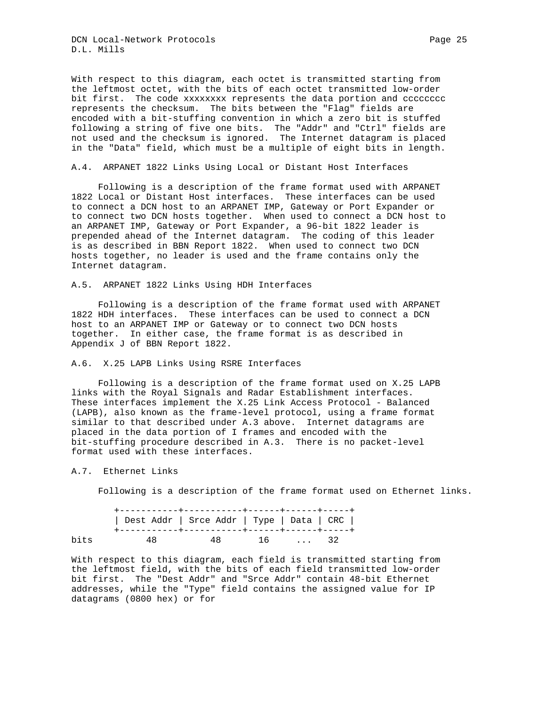DCN Local-Network Protocols **Page 25** Page 25 D.L. Mills

With respect to this diagram, each octet is transmitted starting from the leftmost octet, with the bits of each octet transmitted low-order bit first. The code xxxxxxxx represents the data portion and cccccccc represents the checksum. The bits between the "Flag" fields are encoded with a bit-stuffing convention in which a zero bit is stuffed following a string of five one bits. The "Addr" and "Ctrl" fields are not used and the checksum is ignored. The Internet datagram is placed in the "Data" field, which must be a multiple of eight bits in length.

### A.4. ARPANET 1822 Links Using Local or Distant Host Interfaces

 Following is a description of the frame format used with ARPANET 1822 Local or Distant Host interfaces. These interfaces can be used to connect a DCN host to an ARPANET IMP, Gateway or Port Expander or to connect two DCN hosts together. When used to connect a DCN host to an ARPANET IMP, Gateway or Port Expander, a 96-bit 1822 leader is prepended ahead of the Internet datagram. The coding of this leader is as described in BBN Report 1822. When used to connect two DCN hosts together, no leader is used and the frame contains only the Internet datagram.

### A.5. ARPANET 1822 Links Using HDH Interfaces

 Following is a description of the frame format used with ARPANET 1822 HDH interfaces. These interfaces can be used to connect a DCN host to an ARPANET IMP or Gateway or to connect two DCN hosts together. In either case, the frame format is as described in Appendix J of BBN Report 1822.

#### A.6. X.25 LAPB Links Using RSRE Interfaces

 Following is a description of the frame format used on X.25 LAPB links with the Royal Signals and Radar Establishment interfaces. These interfaces implement the X.25 Link Access Protocol - Balanced (LAPB), also known as the frame-level protocol, using a frame format similar to that described under A.3 above. Internet datagrams are placed in the data portion of I frames and encoded with the bit-stuffing procedure described in A.3. There is no packet-level format used with these interfaces.

## A.7. Ethernet Links

Following is a description of the frame format used on Ethernet links.

|      | Dest Addr   Srce Addr   Type   Data   CRC |           |  |  |
|------|-------------------------------------------|-----------|--|--|
| bits | 48                                        | 48 16  32 |  |  |

With respect to this diagram, each field is transmitted starting from the leftmost field, with the bits of each field transmitted low-order bit first. The "Dest Addr" and "Srce Addr" contain 48-bit Ethernet addresses, while the "Type" field contains the assigned value for IP datagrams (0800 hex) or for